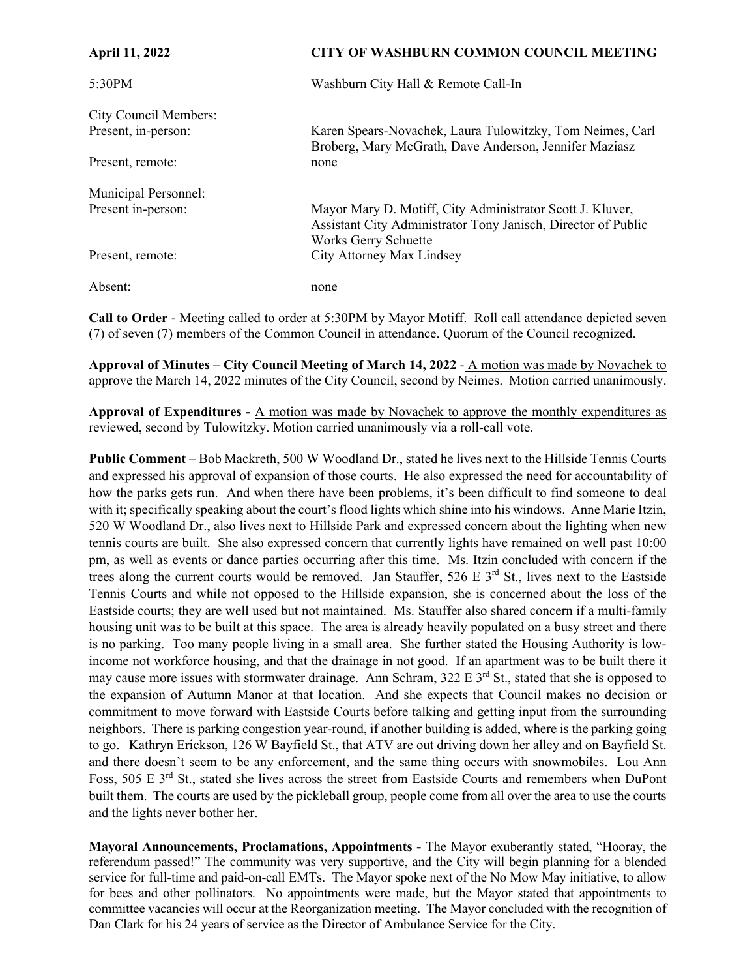| <b>April 11, 2022</b> | <b>CITY OF WASHBURN COMMON COUNCIL MEETING</b>                                                                                                     |
|-----------------------|----------------------------------------------------------------------------------------------------------------------------------------------------|
| 5:30PM                | Washburn City Hall & Remote Call-In                                                                                                                |
| City Council Members: |                                                                                                                                                    |
| Present, in-person:   | Karen Spears-Novachek, Laura Tulowitzky, Tom Neimes, Carl<br>Broberg, Mary McGrath, Dave Anderson, Jennifer Maziasz                                |
| Present, remote:      | none                                                                                                                                               |
| Municipal Personnel:  |                                                                                                                                                    |
| Present in-person:    | Mayor Mary D. Motiff, City Administrator Scott J. Kluver,<br>Assistant City Administrator Tony Janisch, Director of Public<br>Works Gerry Schuette |
| Present, remote:      | City Attorney Max Lindsey                                                                                                                          |
| Absent:               | none                                                                                                                                               |

**Call to Order** - Meeting called to order at 5:30PM by Mayor Motiff. Roll call attendance depicted seven (7) of seven (7) members of the Common Council in attendance. Quorum of the Council recognized.

**Approval of Minutes – City Council Meeting of March 14, 2022** - A motion was made by Novachek to approve the March 14, 2022 minutes of the City Council, second by Neimes. Motion carried unanimously.

**Approval of Expenditures -** A motion was made by Novachek to approve the monthly expenditures as reviewed, second by Tulowitzky. Motion carried unanimously via a roll-call vote.

**Public Comment –** Bob Mackreth, 500 W Woodland Dr., stated he lives next to the Hillside Tennis Courts and expressed his approval of expansion of those courts. He also expressed the need for accountability of how the parks gets run. And when there have been problems, it's been difficult to find someone to deal with it; specifically speaking about the court's flood lights which shine into his windows. Anne Marie Itzin, 520 W Woodland Dr., also lives next to Hillside Park and expressed concern about the lighting when new tennis courts are built. She also expressed concern that currently lights have remained on well past 10:00 pm, as well as events or dance parties occurring after this time. Ms. Itzin concluded with concern if the trees along the current courts would be removed. Jan Stauffer,  $526 \text{ E } 3^{\text{rd}}$  St., lives next to the Eastside Tennis Courts and while not opposed to the Hillside expansion, she is concerned about the loss of the Eastside courts; they are well used but not maintained. Ms. Stauffer also shared concern if a multi-family housing unit was to be built at this space. The area is already heavily populated on a busy street and there is no parking. Too many people living in a small area. She further stated the Housing Authority is lowincome not workforce housing, and that the drainage in not good. If an apartment was to be built there it may cause more issues with stormwater drainage. Ann Schram,  $322 \text{ E } 3^{\text{rd}}$  St., stated that she is opposed to the expansion of Autumn Manor at that location. And she expects that Council makes no decision or commitment to move forward with Eastside Courts before talking and getting input from the surrounding neighbors. There is parking congestion year-round, if another building is added, where is the parking going to go. Kathryn Erickson, 126 W Bayfield St., that ATV are out driving down her alley and on Bayfield St. and there doesn't seem to be any enforcement, and the same thing occurs with snowmobiles. Lou Ann Foss, 505 E 3<sup>rd</sup> St., stated she lives across the street from Eastside Courts and remembers when DuPont built them. The courts are used by the pickleball group, people come from all over the area to use the courts and the lights never bother her.

**Mayoral Announcements, Proclamations, Appointments -** The Mayor exuberantly stated, "Hooray, the referendum passed!" The community was very supportive, and the City will begin planning for a blended service for full-time and paid-on-call EMTs. The Mayor spoke next of the No Mow May initiative, to allow for bees and other pollinators. No appointments were made, but the Mayor stated that appointments to committee vacancies will occur at the Reorganization meeting. The Mayor concluded with the recognition of Dan Clark for his 24 years of service as the Director of Ambulance Service for the City.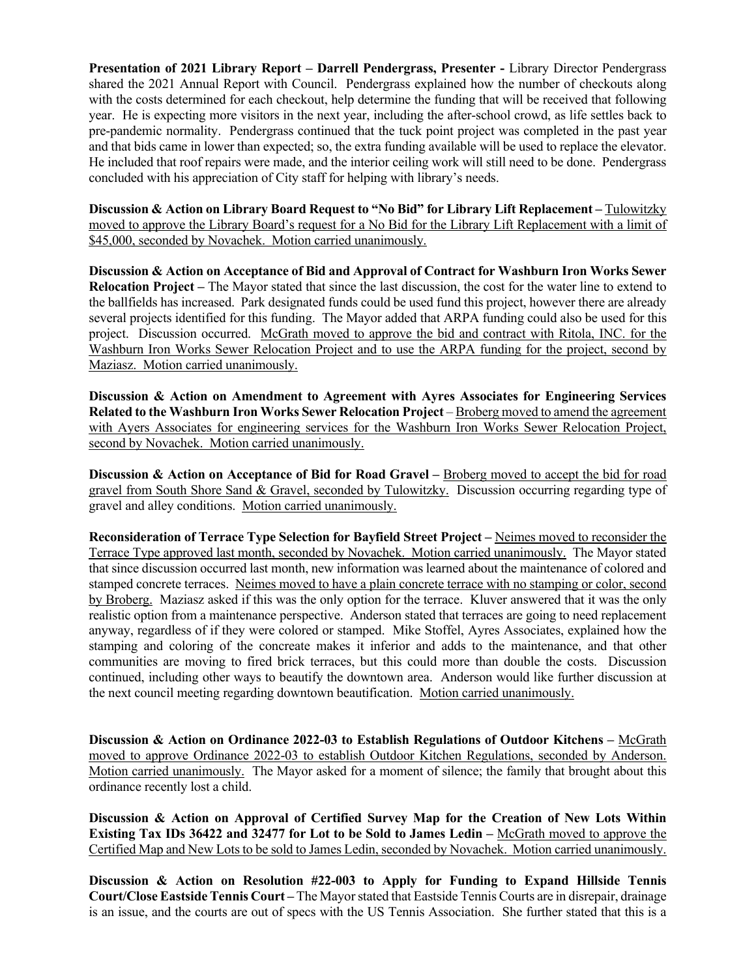**Presentation of 2021 Library Report – Darrell Pendergrass, Presenter -** Library Director Pendergrass shared the 2021 Annual Report with Council. Pendergrass explained how the number of checkouts along with the costs determined for each checkout, help determine the funding that will be received that following year. He is expecting more visitors in the next year, including the after-school crowd, as life settles back to pre-pandemic normality. Pendergrass continued that the tuck point project was completed in the past year and that bids came in lower than expected; so, the extra funding available will be used to replace the elevator. He included that roof repairs were made, and the interior ceiling work will still need to be done. Pendergrass concluded with his appreciation of City staff for helping with library's needs.

**Discussion & Action on Library Board Request to "No Bid" for Library Lift Replacement – Tulowitzky** moved to approve the Library Board's request for a No Bid for the Library Lift Replacement with a limit of \$45,000, seconded by Novachek. Motion carried unanimously.

**Discussion & Action on Acceptance of Bid and Approval of Contract for Washburn Iron Works Sewer Relocation Project –** The Mayor stated that since the last discussion, the cost for the water line to extend to the ballfields has increased. Park designated funds could be used fund this project, however there are already several projects identified for this funding. The Mayor added that ARPA funding could also be used for this project. Discussion occurred. McGrath moved to approve the bid and contract with Ritola, INC. for the Washburn Iron Works Sewer Relocation Project and to use the ARPA funding for the project, second by Maziasz. Motion carried unanimously.

**Discussion & Action on Amendment to Agreement with Ayres Associates for Engineering Services Related to the Washburn Iron Works Sewer Relocation Project – Broberg moved to amend the agreement** with Ayers Associates for engineering services for the Washburn Iron Works Sewer Relocation Project, second by Novachek. Motion carried unanimously.

**Discussion & Action on Acceptance of Bid for Road Gravel – Broberg moved to accept the bid for road** gravel from South Shore Sand & Gravel, seconded by Tulowitzky. Discussion occurring regarding type of gravel and alley conditions. Motion carried unanimously.

**Reconsideration of Terrace Type Selection for Bayfield Street Project –** Neimes moved to reconsider the Terrace Type approved last month, seconded by Novachek. Motion carried unanimously. The Mayor stated that since discussion occurred last month, new information was learned about the maintenance of colored and stamped concrete terraces. Neimes moved to have a plain concrete terrace with no stamping or color, second by Broberg. Maziasz asked if this was the only option for the terrace. Kluver answered that it was the only realistic option from a maintenance perspective. Anderson stated that terraces are going to need replacement anyway, regardless of if they were colored or stamped. Mike Stoffel, Ayres Associates, explained how the stamping and coloring of the concreate makes it inferior and adds to the maintenance, and that other communities are moving to fired brick terraces, but this could more than double the costs. Discussion continued, including other ways to beautify the downtown area. Anderson would like further discussion at the next council meeting regarding downtown beautification. Motion carried unanimously.

Discussion & Action on Ordinance 2022-03 to Establish Regulations of Outdoor Kitchens – McGrath moved to approve Ordinance 2022-03 to establish Outdoor Kitchen Regulations, seconded by Anderson. Motion carried unanimously. The Mayor asked for a moment of silence; the family that brought about this ordinance recently lost a child.

**Discussion & Action on Approval of Certified Survey Map for the Creation of New Lots Within Existing Tax IDs 36422 and 32477 for Lot to be Sold to James Ledin –** McGrath moved to approve the Certified Map and New Lots to be sold to James Ledin, seconded by Novachek. Motion carried unanimously.

**Discussion & Action on Resolution #22-003 to Apply for Funding to Expand Hillside Tennis Court/Close Eastside Tennis Court –** The Mayor stated that Eastside Tennis Courts are in disrepair, drainage is an issue, and the courts are out of specs with the US Tennis Association. She further stated that this is a